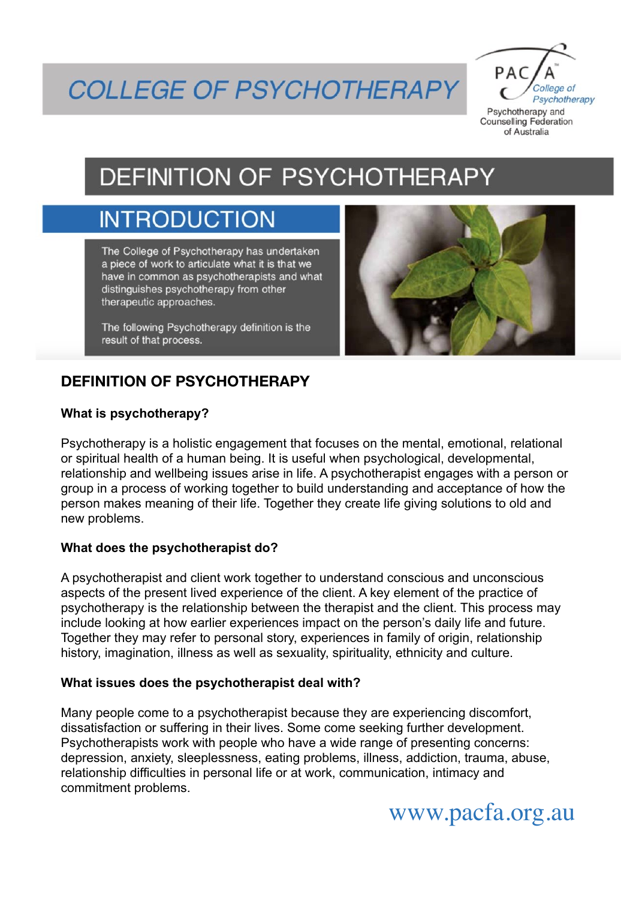# **COLLEGE OF PSYCHOTHERAPY**

 $PAC$ College of Psychotherapy Psychotherapy and **Counselling Federation** 

of Australia

DEFINITION OF PSYCHOTHERAPY

## **INTRODUCTION**

The College of Psychotherapy has undertaken a piece of work to articulate what it is that we have in common as psychotherapists and what distinguishes psychotherapy from other therapeutic approaches.

The following Psychotherapy definition is the result of that process.



### **DEFINITION OF PSYCHOTHERAPY**

#### **What is psychotherapy?**

Psychotherapy is a holistic engagement that focuses on the mental, emotional, relational or spiritual health of a human being. It is useful when psychological, developmental, relationship and wellbeing issues arise in life. A psychotherapist engages with a person or group in a process of working together to build understanding and acceptance of how the person makes meaning of their life. Together they create life giving solutions to old and new problems.

#### **What does the psychotherapist do?**

A psychotherapist and client work together to understand conscious and unconscious aspects of the present lived experience of the client. A key element of the practice of psychotherapy is the relationship between the therapist and the client. This process may include looking at how earlier experiences impact on the person's daily life and future. Together they may refer to personal story, experiences in family of origin, relationship history, imagination, illness as well as sexuality, spirituality, ethnicity and culture.

#### **What issues does the psychotherapist deal with?**

Many people come to a psychotherapist because they are experiencing discomfort, dissatisfaction or suffering in their lives. Some come seeking further development. Psychotherapists work with people who have a wide range of presenting concerns: depression, anxiety, sleeplessness, eating problems, illness, addiction, trauma, abuse, relationship difficulties in personal life or at work, communication, intimacy and commitment problems.